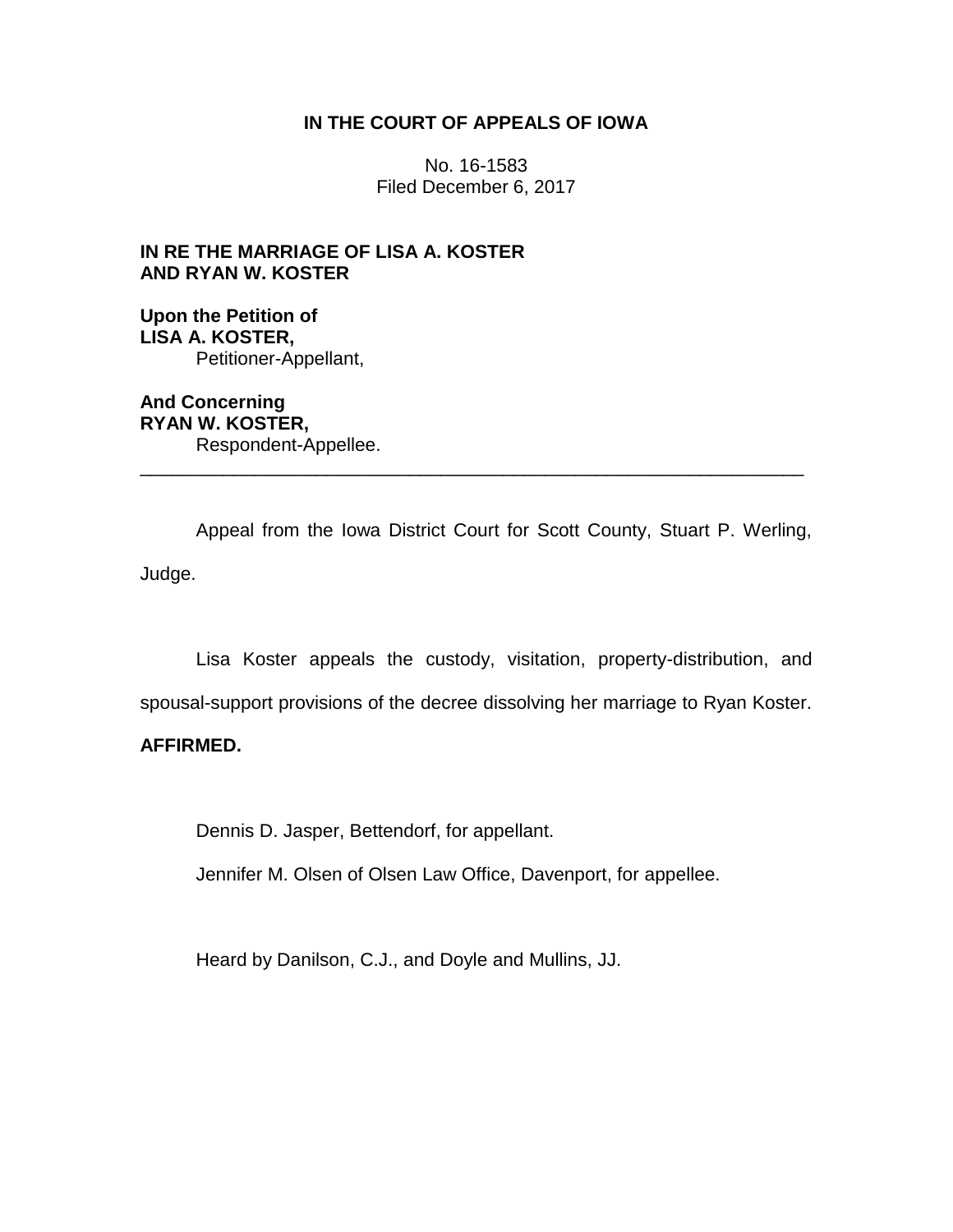# **IN THE COURT OF APPEALS OF IOWA**

No. 16-1583 Filed December 6, 2017

# **IN RE THE MARRIAGE OF LISA A. KOSTER AND RYAN W. KOSTER**

**Upon the Petition of LISA A. KOSTER,** Petitioner-Appellant,

**And Concerning RYAN W. KOSTER,** Respondent-Appellee. \_\_\_\_\_\_\_\_\_\_\_\_\_\_\_\_\_\_\_\_\_\_\_\_\_\_\_\_\_\_\_\_\_\_\_\_\_\_\_\_\_\_\_\_\_\_\_\_\_\_\_\_\_\_\_\_\_\_\_\_\_\_\_\_

Appeal from the Iowa District Court for Scott County, Stuart P. Werling, Judge.

Lisa Koster appeals the custody, visitation, property-distribution, and

spousal-support provisions of the decree dissolving her marriage to Ryan Koster.

## **AFFIRMED.**

Dennis D. Jasper, Bettendorf, for appellant.

Jennifer M. Olsen of Olsen Law Office, Davenport, for appellee.

Heard by Danilson, C.J., and Doyle and Mullins, JJ.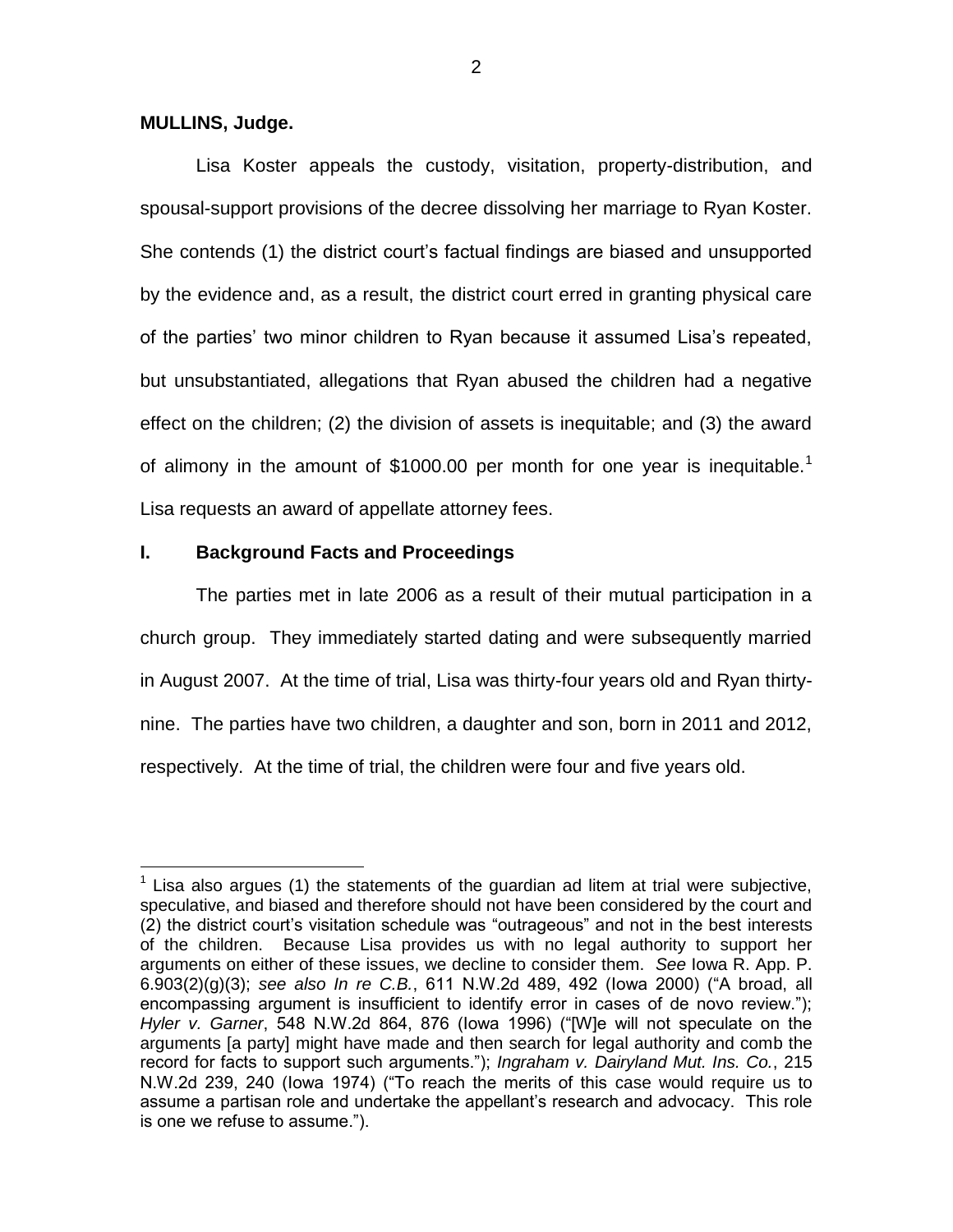#### **MULLINS, Judge.**

 $\overline{a}$ 

Lisa Koster appeals the custody, visitation, property-distribution, and spousal-support provisions of the decree dissolving her marriage to Ryan Koster. She contends (1) the district court's factual findings are biased and unsupported by the evidence and, as a result, the district court erred in granting physical care of the parties' two minor children to Ryan because it assumed Lisa's repeated, but unsubstantiated, allegations that Ryan abused the children had a negative effect on the children; (2) the division of assets is inequitable; and (3) the award of alimony in the amount of \$1000.00 per month for one year is inequitable.<sup>1</sup> Lisa requests an award of appellate attorney fees.

### **I. Background Facts and Proceedings**

The parties met in late 2006 as a result of their mutual participation in a church group. They immediately started dating and were subsequently married in August 2007. At the time of trial, Lisa was thirty-four years old and Ryan thirtynine. The parties have two children, a daughter and son, born in 2011 and 2012, respectively. At the time of trial, the children were four and five years old.

 $1$  Lisa also argues (1) the statements of the guardian ad litem at trial were subjective, speculative, and biased and therefore should not have been considered by the court and (2) the district court's visitation schedule was "outrageous" and not in the best interests of the children. Because Lisa provides us with no legal authority to support her arguments on either of these issues, we decline to consider them. *See* Iowa R. App. P. 6.903(2)(g)(3); *see also In re C.B.*, 611 N.W.2d 489, 492 (Iowa 2000) ("A broad, all encompassing argument is insufficient to identify error in cases of de novo review."); *Hyler v. Garner*, 548 N.W.2d 864, 876 (Iowa 1996) ("[W]e will not speculate on the arguments [a party] might have made and then search for legal authority and comb the record for facts to support such arguments."); *Ingraham v. Dairyland Mut. Ins. Co.*, 215 N.W.2d 239, 240 (Iowa 1974) ("To reach the merits of this case would require us to assume a partisan role and undertake the appellant's research and advocacy. This role is one we refuse to assume.").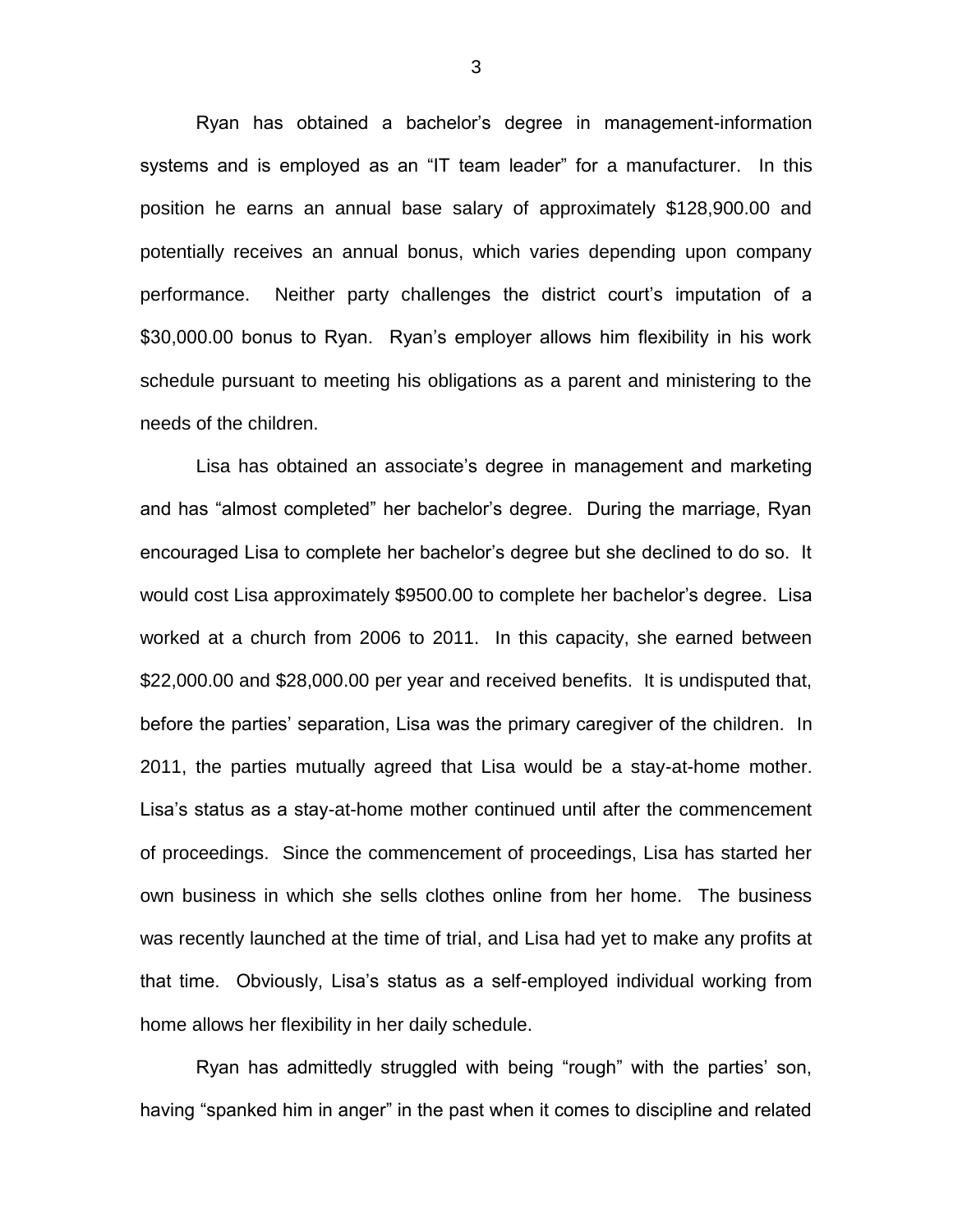Ryan has obtained a bachelor's degree in management-information systems and is employed as an "IT team leader" for a manufacturer. In this position he earns an annual base salary of approximately \$128,900.00 and potentially receives an annual bonus, which varies depending upon company performance. Neither party challenges the district court's imputation of a \$30,000.00 bonus to Ryan. Ryan's employer allows him flexibility in his work schedule pursuant to meeting his obligations as a parent and ministering to the needs of the children.

Lisa has obtained an associate's degree in management and marketing and has "almost completed" her bachelor's degree. During the marriage, Ryan encouraged Lisa to complete her bachelor's degree but she declined to do so. It would cost Lisa approximately \$9500.00 to complete her bachelor's degree. Lisa worked at a church from 2006 to 2011. In this capacity, she earned between \$22,000.00 and \$28,000.00 per year and received benefits. It is undisputed that, before the parties' separation, Lisa was the primary caregiver of the children. In 2011, the parties mutually agreed that Lisa would be a stay-at-home mother. Lisa's status as a stay-at-home mother continued until after the commencement of proceedings. Since the commencement of proceedings, Lisa has started her own business in which she sells clothes online from her home. The business was recently launched at the time of trial, and Lisa had yet to make any profits at that time. Obviously, Lisa's status as a self-employed individual working from home allows her flexibility in her daily schedule.

Ryan has admittedly struggled with being "rough" with the parties' son, having "spanked him in anger" in the past when it comes to discipline and related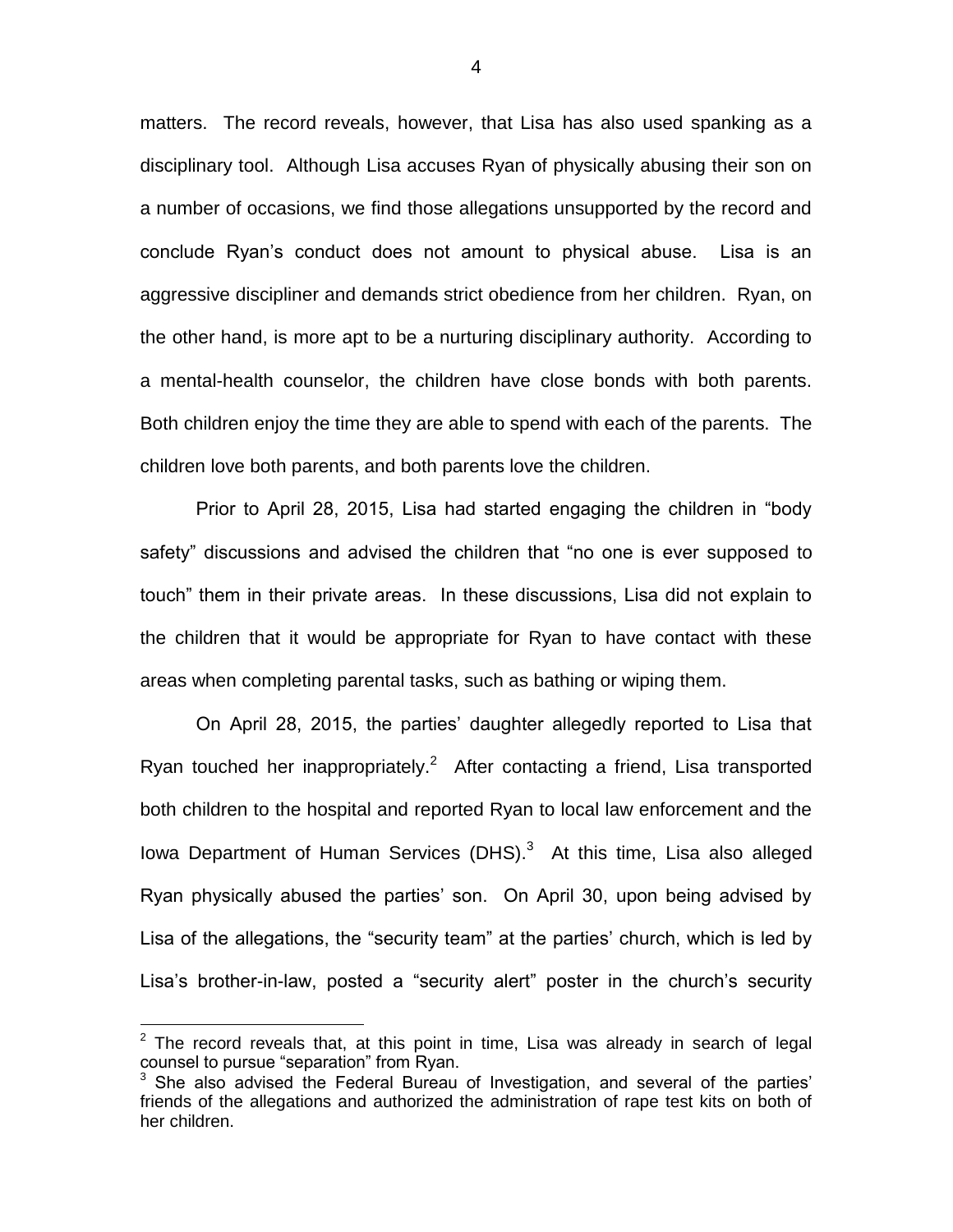matters. The record reveals, however, that Lisa has also used spanking as a disciplinary tool. Although Lisa accuses Ryan of physically abusing their son on a number of occasions, we find those allegations unsupported by the record and conclude Ryan's conduct does not amount to physical abuse. Lisa is an aggressive discipliner and demands strict obedience from her children. Ryan, on the other hand, is more apt to be a nurturing disciplinary authority. According to a mental-health counselor, the children have close bonds with both parents. Both children enjoy the time they are able to spend with each of the parents. The children love both parents, and both parents love the children.

Prior to April 28, 2015, Lisa had started engaging the children in "body safety" discussions and advised the children that "no one is ever supposed to touch" them in their private areas. In these discussions, Lisa did not explain to the children that it would be appropriate for Ryan to have contact with these areas when completing parental tasks, such as bathing or wiping them.

On April 28, 2015, the parties' daughter allegedly reported to Lisa that Ryan touched her inappropriately.<sup>2</sup> After contacting a friend, Lisa transported both children to the hospital and reported Ryan to local law enforcement and the lowa Department of Human Services (DHS). $3$  At this time, Lisa also alleged Ryan physically abused the parties' son. On April 30, upon being advised by Lisa of the allegations, the "security team" at the parties' church, which is led by Lisa's brother-in-law, posted a "security alert" poster in the church's security

 $\overline{a}$ 

 $2$  The record reveals that, at this point in time, Lisa was already in search of legal counsel to pursue "separation" from Ryan.

 $3$  She also advised the Federal Bureau of Investigation, and several of the parties' friends of the allegations and authorized the administration of rape test kits on both of her children.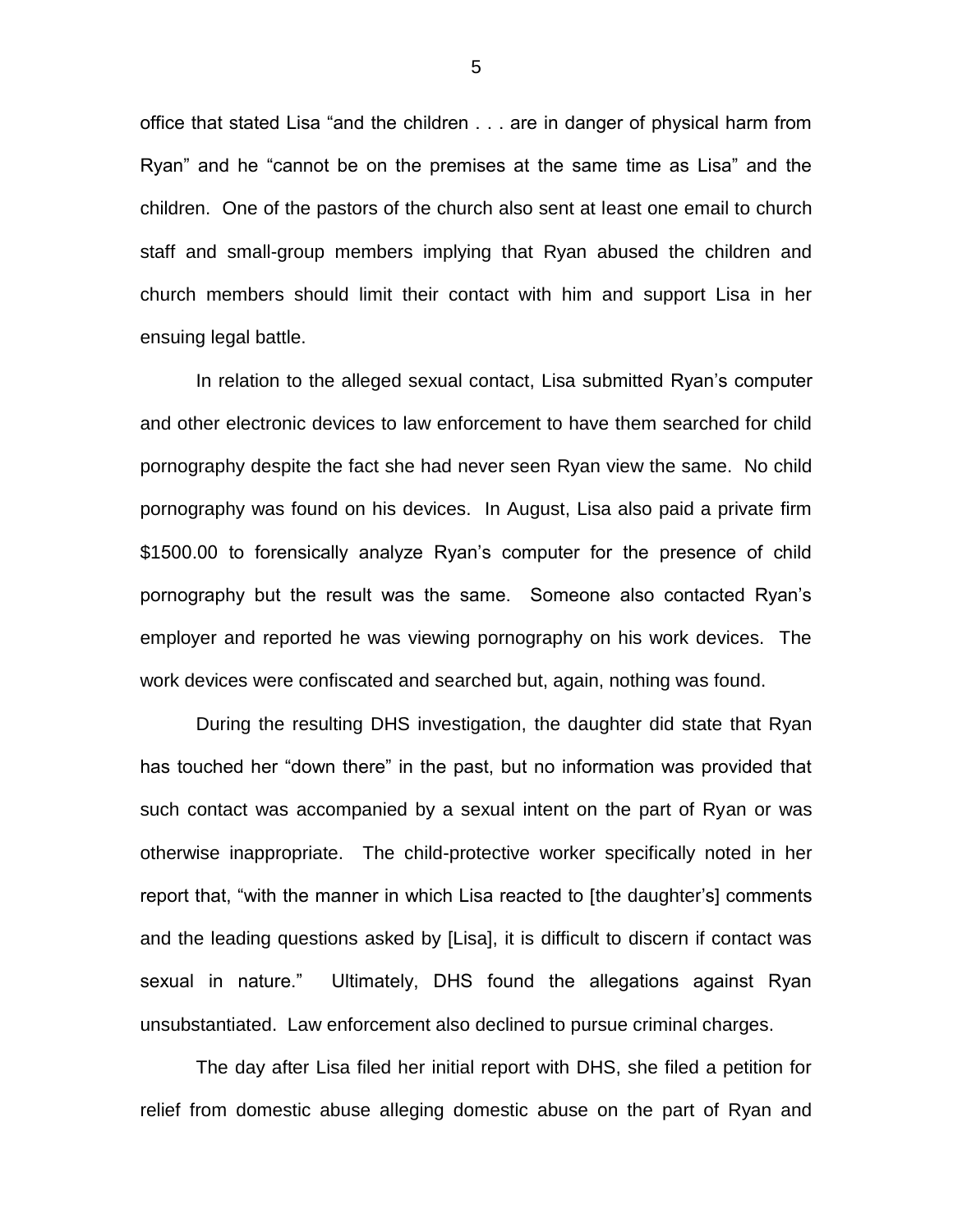office that stated Lisa "and the children . . . are in danger of physical harm from Ryan" and he "cannot be on the premises at the same time as Lisa" and the children. One of the pastors of the church also sent at least one email to church staff and small-group members implying that Ryan abused the children and church members should limit their contact with him and support Lisa in her ensuing legal battle.

In relation to the alleged sexual contact, Lisa submitted Ryan's computer and other electronic devices to law enforcement to have them searched for child pornography despite the fact she had never seen Ryan view the same. No child pornography was found on his devices. In August, Lisa also paid a private firm \$1500.00 to forensically analyze Ryan's computer for the presence of child pornography but the result was the same. Someone also contacted Ryan's employer and reported he was viewing pornography on his work devices. The work devices were confiscated and searched but, again, nothing was found.

During the resulting DHS investigation, the daughter did state that Ryan has touched her "down there" in the past, but no information was provided that such contact was accompanied by a sexual intent on the part of Ryan or was otherwise inappropriate. The child-protective worker specifically noted in her report that, "with the manner in which Lisa reacted to [the daughter's] comments and the leading questions asked by [Lisa], it is difficult to discern if contact was sexual in nature." Ultimately, DHS found the allegations against Ryan unsubstantiated. Law enforcement also declined to pursue criminal charges.

The day after Lisa filed her initial report with DHS, she filed a petition for relief from domestic abuse alleging domestic abuse on the part of Ryan and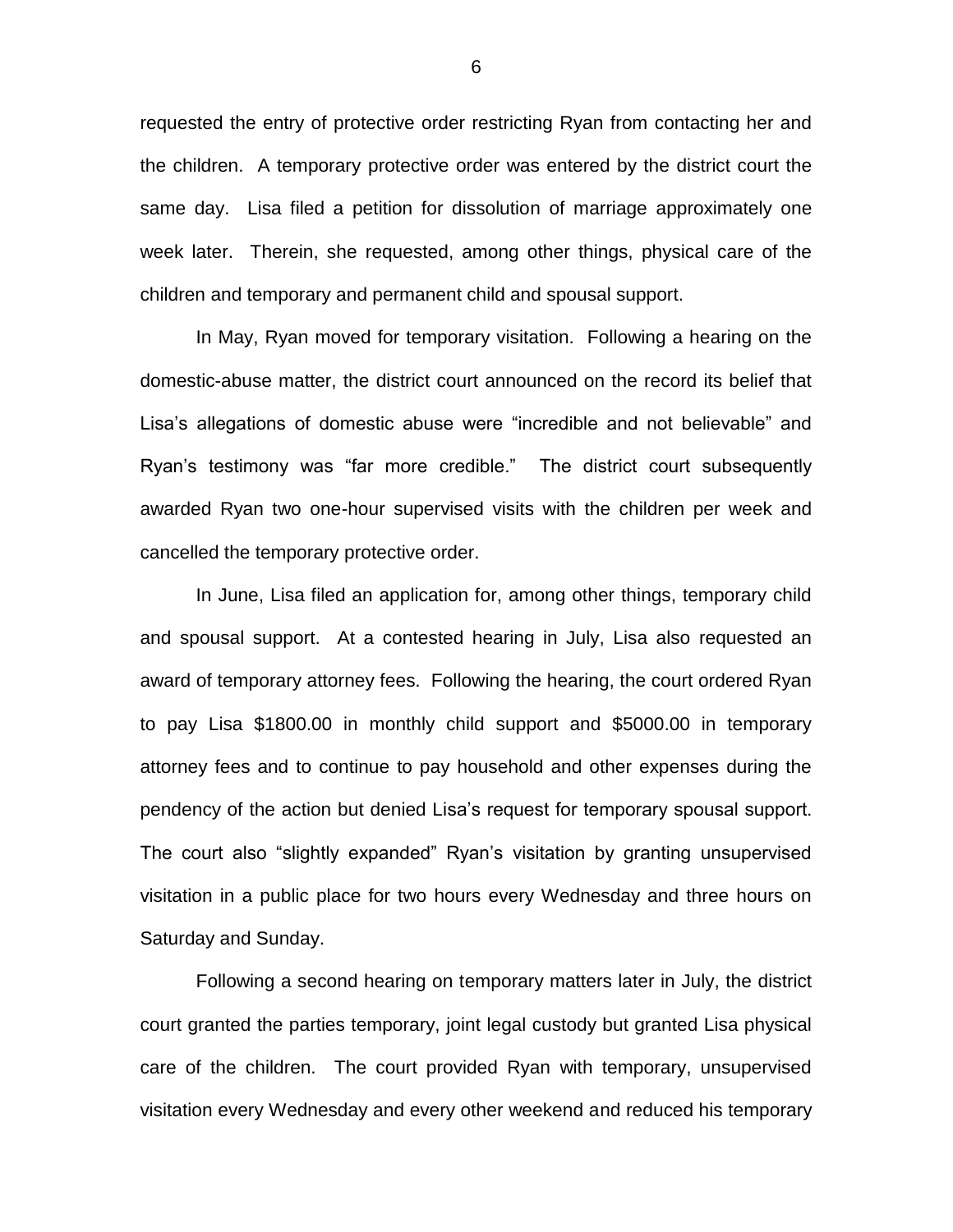requested the entry of protective order restricting Ryan from contacting her and the children. A temporary protective order was entered by the district court the same day. Lisa filed a petition for dissolution of marriage approximately one week later. Therein, she requested, among other things, physical care of the children and temporary and permanent child and spousal support.

In May, Ryan moved for temporary visitation. Following a hearing on the domestic-abuse matter, the district court announced on the record its belief that Lisa's allegations of domestic abuse were "incredible and not believable" and Ryan's testimony was "far more credible." The district court subsequently awarded Ryan two one-hour supervised visits with the children per week and cancelled the temporary protective order.

In June, Lisa filed an application for, among other things, temporary child and spousal support. At a contested hearing in July, Lisa also requested an award of temporary attorney fees. Following the hearing, the court ordered Ryan to pay Lisa \$1800.00 in monthly child support and \$5000.00 in temporary attorney fees and to continue to pay household and other expenses during the pendency of the action but denied Lisa's request for temporary spousal support. The court also "slightly expanded" Ryan's visitation by granting unsupervised visitation in a public place for two hours every Wednesday and three hours on Saturday and Sunday.

Following a second hearing on temporary matters later in July, the district court granted the parties temporary, joint legal custody but granted Lisa physical care of the children. The court provided Ryan with temporary, unsupervised visitation every Wednesday and every other weekend and reduced his temporary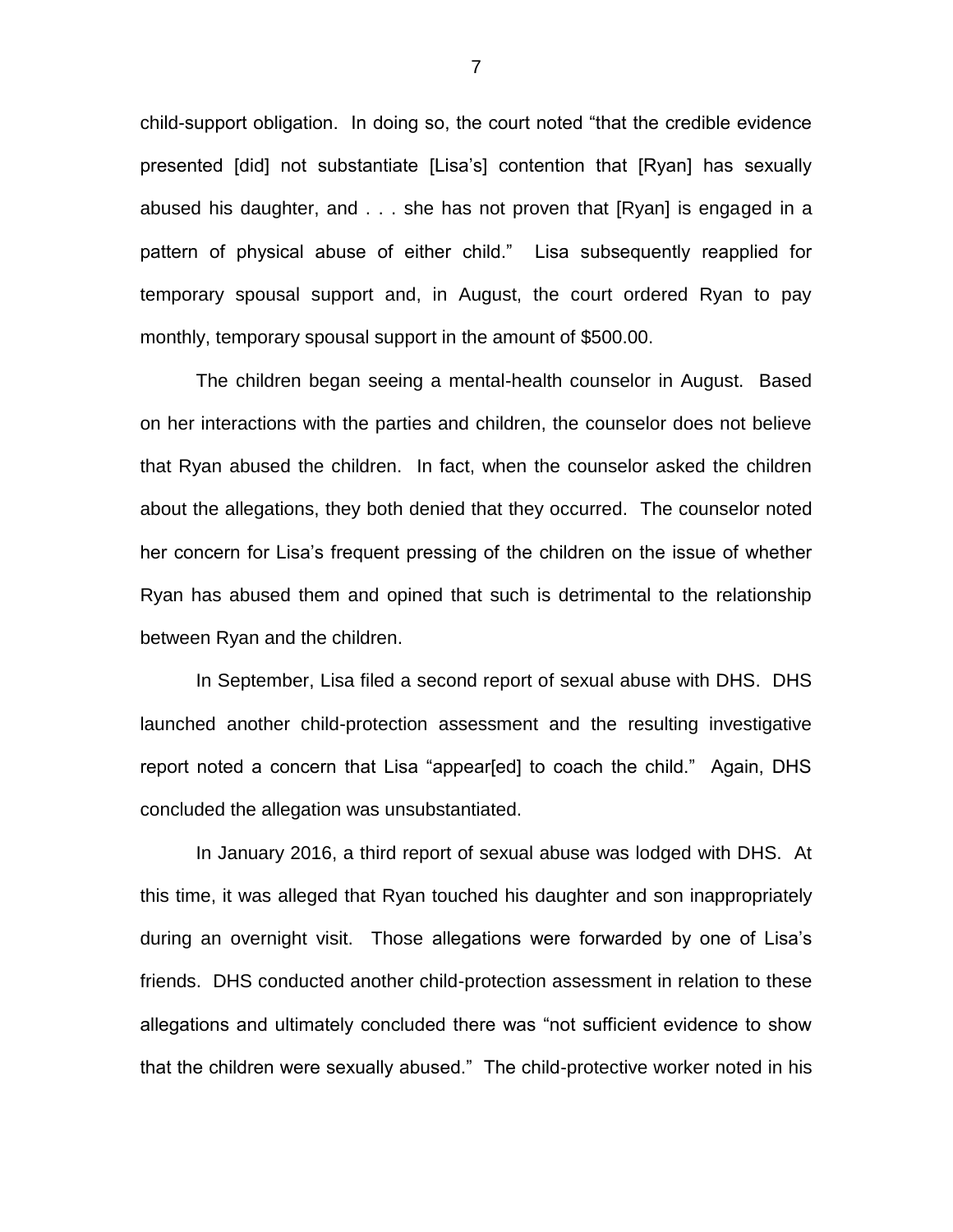child-support obligation. In doing so, the court noted "that the credible evidence presented [did] not substantiate [Lisa's] contention that [Ryan] has sexually abused his daughter, and . . . she has not proven that [Ryan] is engaged in a pattern of physical abuse of either child." Lisa subsequently reapplied for temporary spousal support and, in August, the court ordered Ryan to pay monthly, temporary spousal support in the amount of \$500.00.

The children began seeing a mental-health counselor in August. Based on her interactions with the parties and children, the counselor does not believe that Ryan abused the children. In fact, when the counselor asked the children about the allegations, they both denied that they occurred. The counselor noted her concern for Lisa's frequent pressing of the children on the issue of whether Ryan has abused them and opined that such is detrimental to the relationship between Ryan and the children.

In September, Lisa filed a second report of sexual abuse with DHS. DHS launched another child-protection assessment and the resulting investigative report noted a concern that Lisa "appear[ed] to coach the child." Again, DHS concluded the allegation was unsubstantiated.

In January 2016, a third report of sexual abuse was lodged with DHS. At this time, it was alleged that Ryan touched his daughter and son inappropriately during an overnight visit. Those allegations were forwarded by one of Lisa's friends. DHS conducted another child-protection assessment in relation to these allegations and ultimately concluded there was "not sufficient evidence to show that the children were sexually abused." The child-protective worker noted in his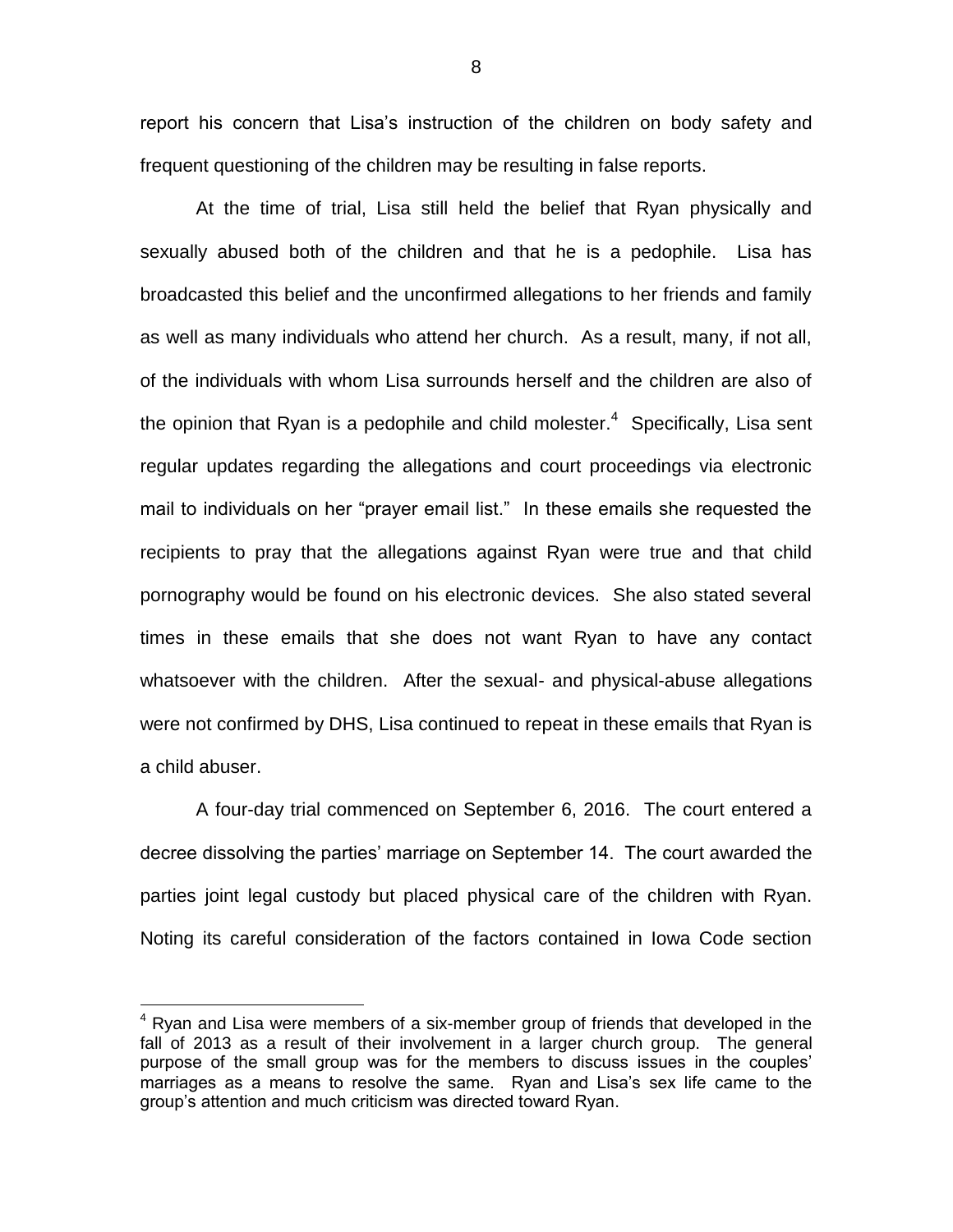report his concern that Lisa's instruction of the children on body safety and frequent questioning of the children may be resulting in false reports.

At the time of trial, Lisa still held the belief that Ryan physically and sexually abused both of the children and that he is a pedophile. Lisa has broadcasted this belief and the unconfirmed allegations to her friends and family as well as many individuals who attend her church. As a result, many, if not all, of the individuals with whom Lisa surrounds herself and the children are also of the opinion that Ryan is a pedophile and child molester.<sup>4</sup> Specifically, Lisa sent regular updates regarding the allegations and court proceedings via electronic mail to individuals on her "prayer email list." In these emails she requested the recipients to pray that the allegations against Ryan were true and that child pornography would be found on his electronic devices. She also stated several times in these emails that she does not want Ryan to have any contact whatsoever with the children. After the sexual- and physical-abuse allegations were not confirmed by DHS, Lisa continued to repeat in these emails that Ryan is a child abuser.

A four-day trial commenced on September 6, 2016. The court entered a decree dissolving the parties' marriage on September 14. The court awarded the parties joint legal custody but placed physical care of the children with Ryan. Noting its careful consideration of the factors contained in Iowa Code section

 $\overline{a}$ 

 $4$  Ryan and Lisa were members of a six-member group of friends that developed in the fall of 2013 as a result of their involvement in a larger church group. The general purpose of the small group was for the members to discuss issues in the couples' marriages as a means to resolve the same. Ryan and Lisa's sex life came to the group's attention and much criticism was directed toward Ryan.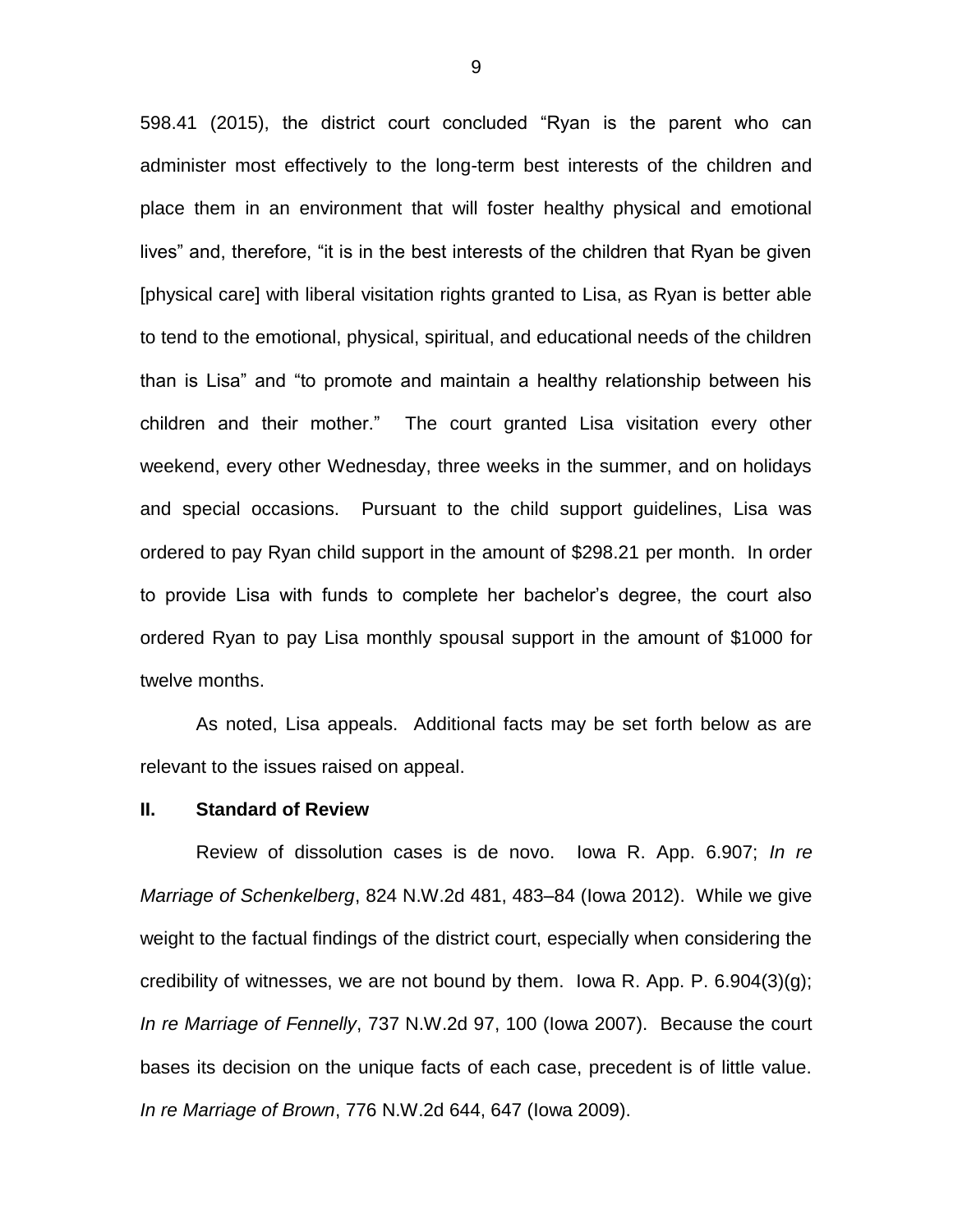598.41 (2015), the district court concluded "Ryan is the parent who can administer most effectively to the long-term best interests of the children and place them in an environment that will foster healthy physical and emotional lives" and, therefore, "it is in the best interests of the children that Ryan be given [physical care] with liberal visitation rights granted to Lisa, as Ryan is better able to tend to the emotional, physical, spiritual, and educational needs of the children than is Lisa" and "to promote and maintain a healthy relationship between his children and their mother." The court granted Lisa visitation every other weekend, every other Wednesday, three weeks in the summer, and on holidays and special occasions. Pursuant to the child support guidelines, Lisa was ordered to pay Ryan child support in the amount of \$298.21 per month. In order to provide Lisa with funds to complete her bachelor's degree, the court also ordered Ryan to pay Lisa monthly spousal support in the amount of \$1000 for twelve months.

As noted, Lisa appeals. Additional facts may be set forth below as are relevant to the issues raised on appeal.

#### **II. Standard of Review**

Review of dissolution cases is de novo. Iowa R. App. 6.907; *In re Marriage of Schenkelberg*, 824 N.W.2d 481, 483–84 (Iowa 2012). While we give weight to the factual findings of the district court, especially when considering the credibility of witnesses, we are not bound by them. Iowa R. App. P.  $6.904(3)(q)$ ; *In re Marriage of Fennelly*, 737 N.W.2d 97, 100 (Iowa 2007). Because the court bases its decision on the unique facts of each case, precedent is of little value. *In re Marriage of Brown*, 776 N.W.2d 644, 647 (Iowa 2009).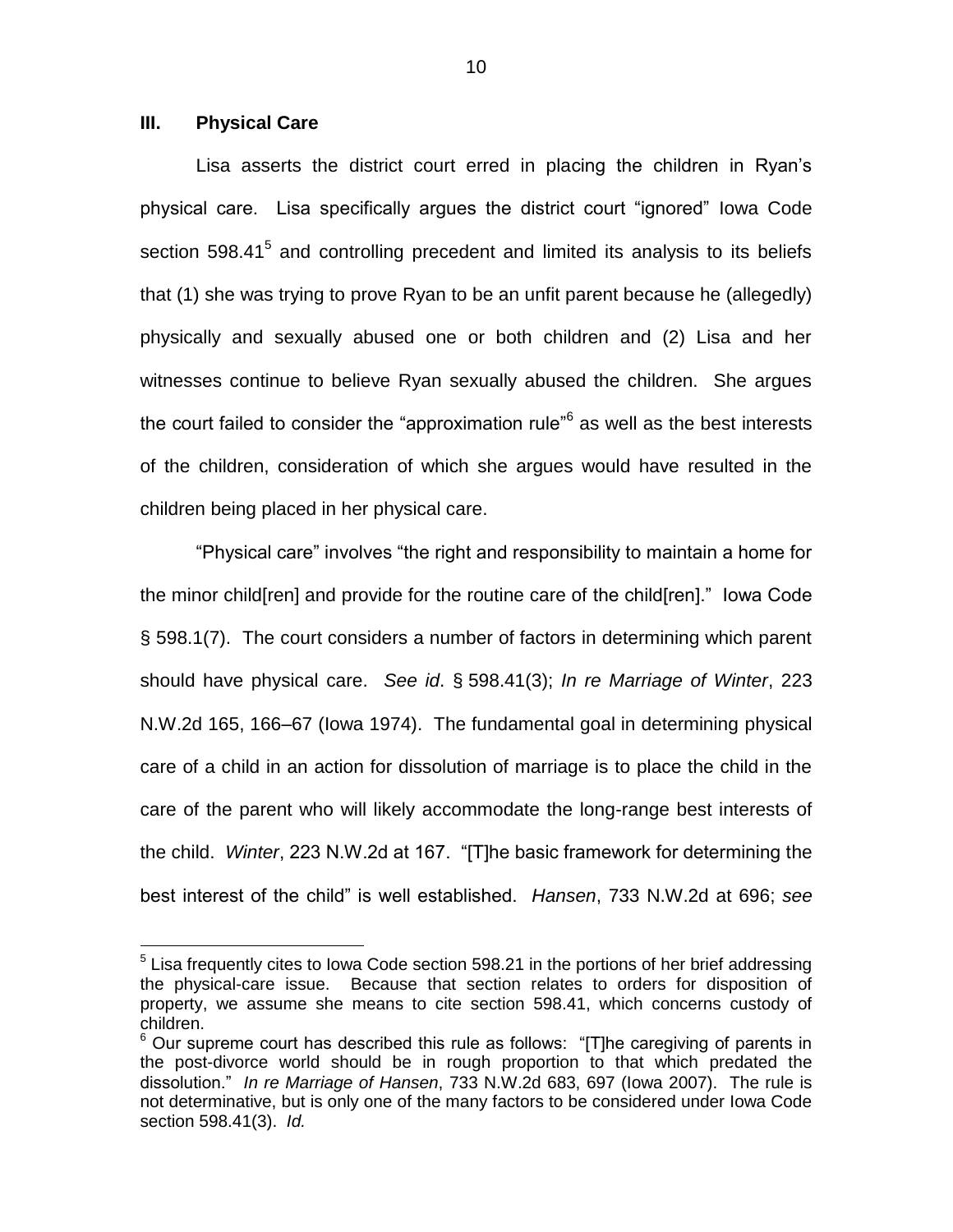## **III. Physical Care**

 $\overline{a}$ 

Lisa asserts the district court erred in placing the children in Ryan's physical care. Lisa specifically argues the district court "ignored" Iowa Code section 598.41<sup>5</sup> and controlling precedent and limited its analysis to its beliefs that (1) she was trying to prove Ryan to be an unfit parent because he (allegedly) physically and sexually abused one or both children and (2) Lisa and her witnesses continue to believe Ryan sexually abused the children. She argues the court failed to consider the "approximation rule"<sup>6</sup> as well as the best interests of the children, consideration of which she argues would have resulted in the children being placed in her physical care.

"Physical care" involves "the right and responsibility to maintain a home for the minor child[ren] and provide for the routine care of the child[ren]." Iowa Code § 598.1(7). The court considers a number of factors in determining which parent should have physical care. *See id*. § 598.41(3); *In re Marriage of Winter*, 223 N.W.2d 165, 166–67 (Iowa 1974). The fundamental goal in determining physical care of a child in an action for dissolution of marriage is to place the child in the care of the parent who will likely accommodate the long-range best interests of the child. *Winter*, 223 N.W.2d at 167. "[T]he basic framework for determining the best interest of the child" is well established. *Hansen*, 733 N.W.2d at 696; *see*

 $5$  Lisa frequently cites to lowa Code section 598.21 in the portions of her brief addressing the physical-care issue. Because that section relates to orders for disposition of property, we assume she means to cite section 598.41, which concerns custody of children.

 $6$  Our supreme court has described this rule as follows: "[T]he caregiving of parents in the post-divorce world should be in rough proportion to that which predated the dissolution." *In re Marriage of Hansen*, 733 N.W.2d 683, 697 (Iowa 2007). The rule is not determinative, but is only one of the many factors to be considered under Iowa Code section 598.41(3). *Id.*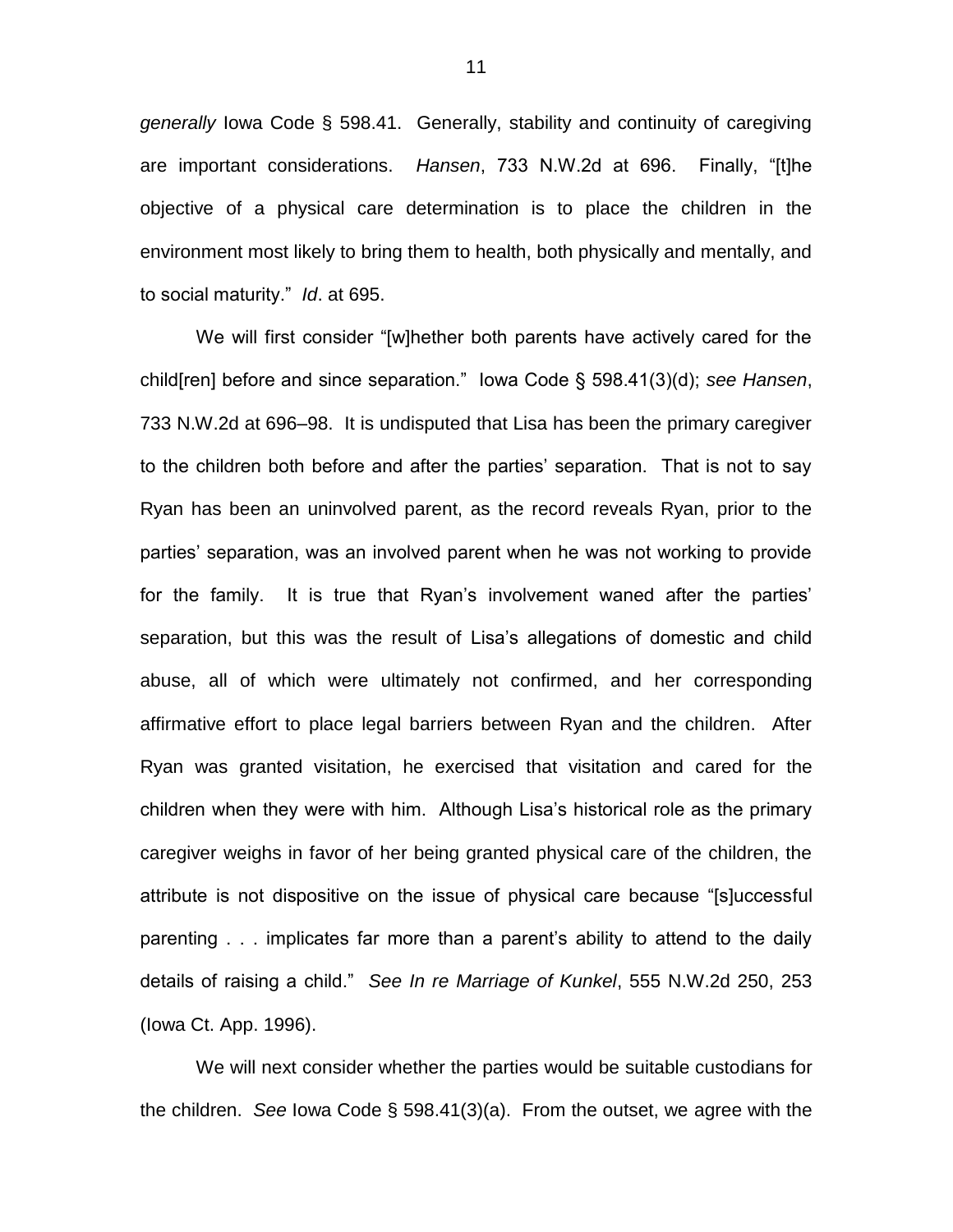*generally* Iowa Code § 598.41. Generally, stability and continuity of caregiving are important considerations. *Hansen*, 733 N.W.2d at 696. Finally, "[t]he objective of a physical care determination is to place the children in the environment most likely to bring them to health, both physically and mentally, and to social maturity." *Id*. at 695.

We will first consider "[w]hether both parents have actively cared for the child[ren] before and since separation." Iowa Code § 598.41(3)(d); *see Hansen*, 733 N.W.2d at 696–98. It is undisputed that Lisa has been the primary caregiver to the children both before and after the parties' separation. That is not to say Ryan has been an uninvolved parent, as the record reveals Ryan, prior to the parties' separation, was an involved parent when he was not working to provide for the family. It is true that Ryan's involvement waned after the parties' separation, but this was the result of Lisa's allegations of domestic and child abuse, all of which were ultimately not confirmed, and her corresponding affirmative effort to place legal barriers between Ryan and the children. After Ryan was granted visitation, he exercised that visitation and cared for the children when they were with him. Although Lisa's historical role as the primary caregiver weighs in favor of her being granted physical care of the children, the attribute is not dispositive on the issue of physical care because "[s]uccessful parenting . . . implicates far more than a parent's ability to attend to the daily details of raising a child." *See In re Marriage of Kunkel*, 555 N.W.2d 250, 253 (Iowa Ct. App. 1996).

We will next consider whether the parties would be suitable custodians for the children. *See* Iowa Code § 598.41(3)(a). From the outset, we agree with the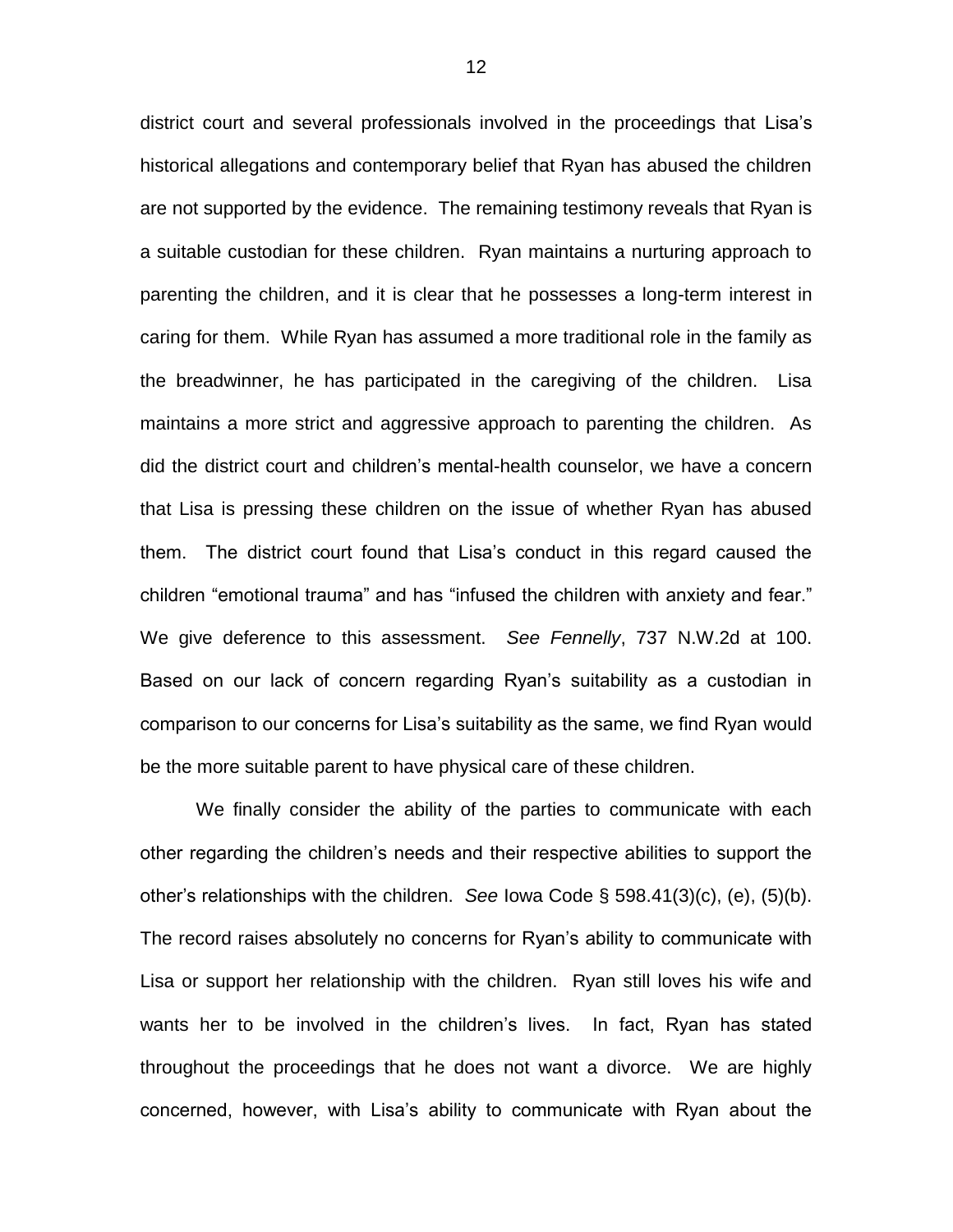district court and several professionals involved in the proceedings that Lisa's historical allegations and contemporary belief that Ryan has abused the children are not supported by the evidence. The remaining testimony reveals that Ryan is a suitable custodian for these children. Ryan maintains a nurturing approach to parenting the children, and it is clear that he possesses a long-term interest in caring for them. While Ryan has assumed a more traditional role in the family as the breadwinner, he has participated in the caregiving of the children. Lisa maintains a more strict and aggressive approach to parenting the children. As did the district court and children's mental-health counselor, we have a concern that Lisa is pressing these children on the issue of whether Ryan has abused them. The district court found that Lisa's conduct in this regard caused the children "emotional trauma" and has "infused the children with anxiety and fear." We give deference to this assessment. *See Fennelly*, 737 N.W.2d at 100. Based on our lack of concern regarding Ryan's suitability as a custodian in comparison to our concerns for Lisa's suitability as the same, we find Ryan would be the more suitable parent to have physical care of these children.

We finally consider the ability of the parties to communicate with each other regarding the children's needs and their respective abilities to support the other's relationships with the children. *See* Iowa Code § 598.41(3)(c), (e), (5)(b). The record raises absolutely no concerns for Ryan's ability to communicate with Lisa or support her relationship with the children. Ryan still loves his wife and wants her to be involved in the children's lives. In fact, Ryan has stated throughout the proceedings that he does not want a divorce. We are highly concerned, however, with Lisa's ability to communicate with Ryan about the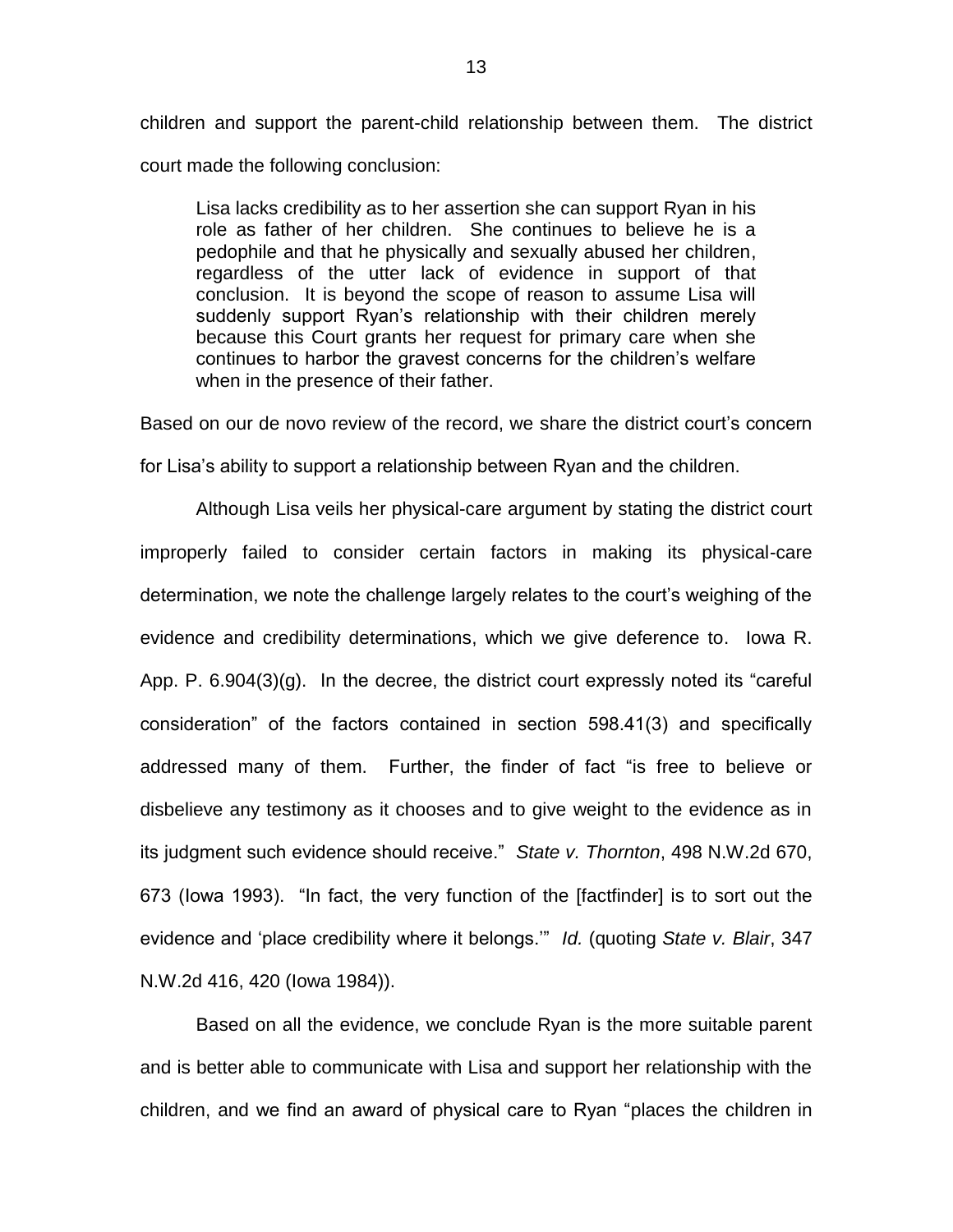children and support the parent-child relationship between them. The district court made the following conclusion:

Lisa lacks credibility as to her assertion she can support Ryan in his role as father of her children. She continues to believe he is a pedophile and that he physically and sexually abused her children, regardless of the utter lack of evidence in support of that conclusion. It is beyond the scope of reason to assume Lisa will suddenly support Ryan's relationship with their children merely because this Court grants her request for primary care when she continues to harbor the gravest concerns for the children's welfare when in the presence of their father.

Based on our de novo review of the record, we share the district court's concern

for Lisa's ability to support a relationship between Ryan and the children.

Although Lisa veils her physical-care argument by stating the district court improperly failed to consider certain factors in making its physical-care determination, we note the challenge largely relates to the court's weighing of the evidence and credibility determinations, which we give deference to. Iowa R. App. P. 6.904(3)(g). In the decree, the district court expressly noted its "careful consideration" of the factors contained in section 598.41(3) and specifically addressed many of them. Further, the finder of fact "is free to believe or disbelieve any testimony as it chooses and to give weight to the evidence as in its judgment such evidence should receive." *State v. Thornton*, 498 N.W.2d 670, 673 (Iowa 1993). "In fact, the very function of the [factfinder] is to sort out the evidence and 'place credibility where it belongs.'" *Id.* (quoting *State v. Blair*, 347 N.W.2d 416, 420 (Iowa 1984)).

Based on all the evidence, we conclude Ryan is the more suitable parent and is better able to communicate with Lisa and support her relationship with the children, and we find an award of physical care to Ryan "places the children in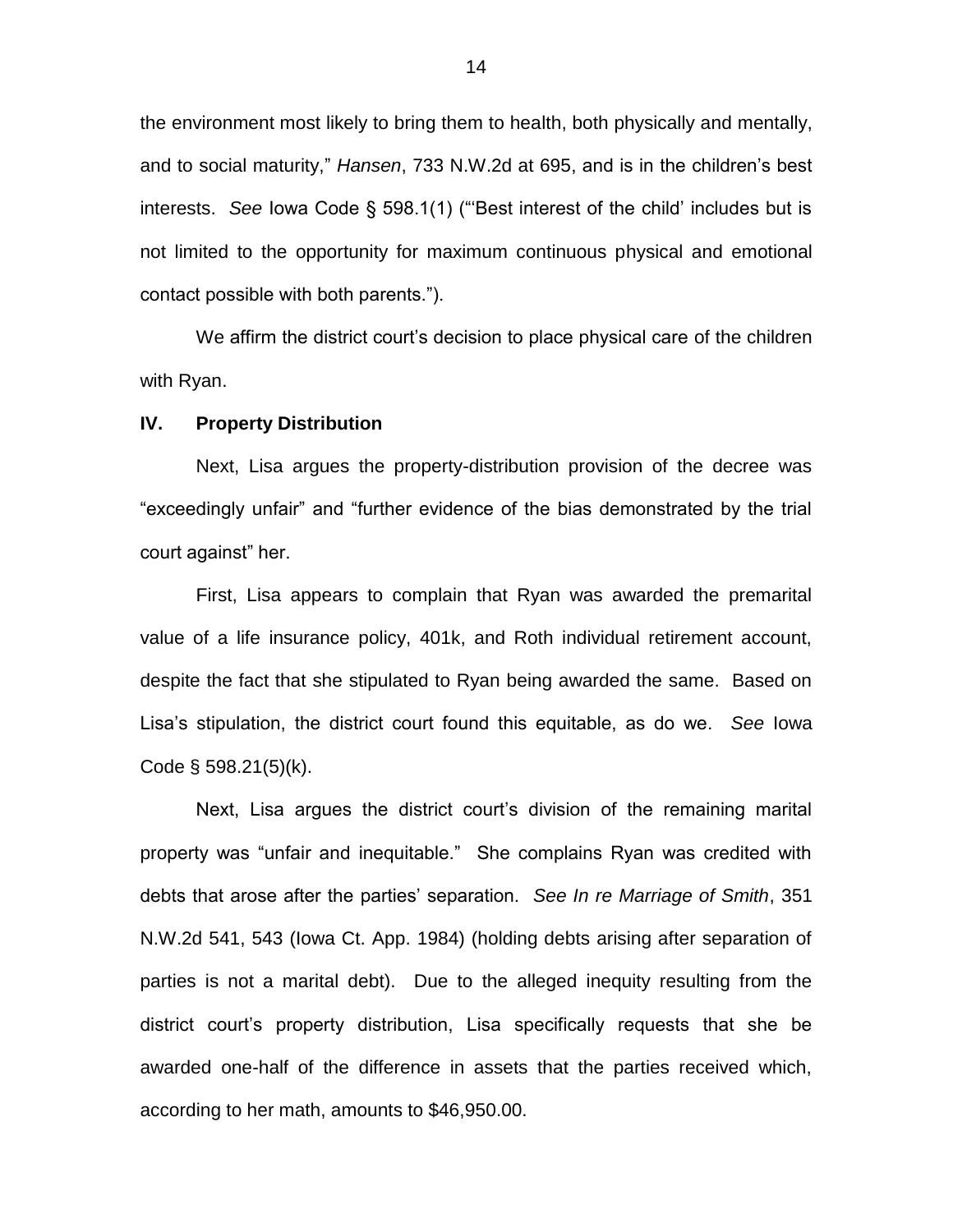the environment most likely to bring them to health, both physically and mentally, and to social maturity," *Hansen*, 733 N.W.2d at 695, and is in the children's best interests. *See* Iowa Code § 598.1(1) ("'Best interest of the child' includes but is not limited to the opportunity for maximum continuous physical and emotional contact possible with both parents.").

We affirm the district court's decision to place physical care of the children with Ryan.

### **IV. Property Distribution**

Next, Lisa argues the property-distribution provision of the decree was "exceedingly unfair" and "further evidence of the bias demonstrated by the trial court against" her.

First, Lisa appears to complain that Ryan was awarded the premarital value of a life insurance policy, 401k, and Roth individual retirement account, despite the fact that she stipulated to Ryan being awarded the same. Based on Lisa's stipulation, the district court found this equitable, as do we. *See* Iowa Code § 598.21(5)(k).

Next, Lisa argues the district court's division of the remaining marital property was "unfair and inequitable." She complains Ryan was credited with debts that arose after the parties' separation. *See In re Marriage of Smith*, 351 N.W.2d 541, 543 (Iowa Ct. App. 1984) (holding debts arising after separation of parties is not a marital debt). Due to the alleged inequity resulting from the district court's property distribution, Lisa specifically requests that she be awarded one-half of the difference in assets that the parties received which, according to her math, amounts to \$46,950.00.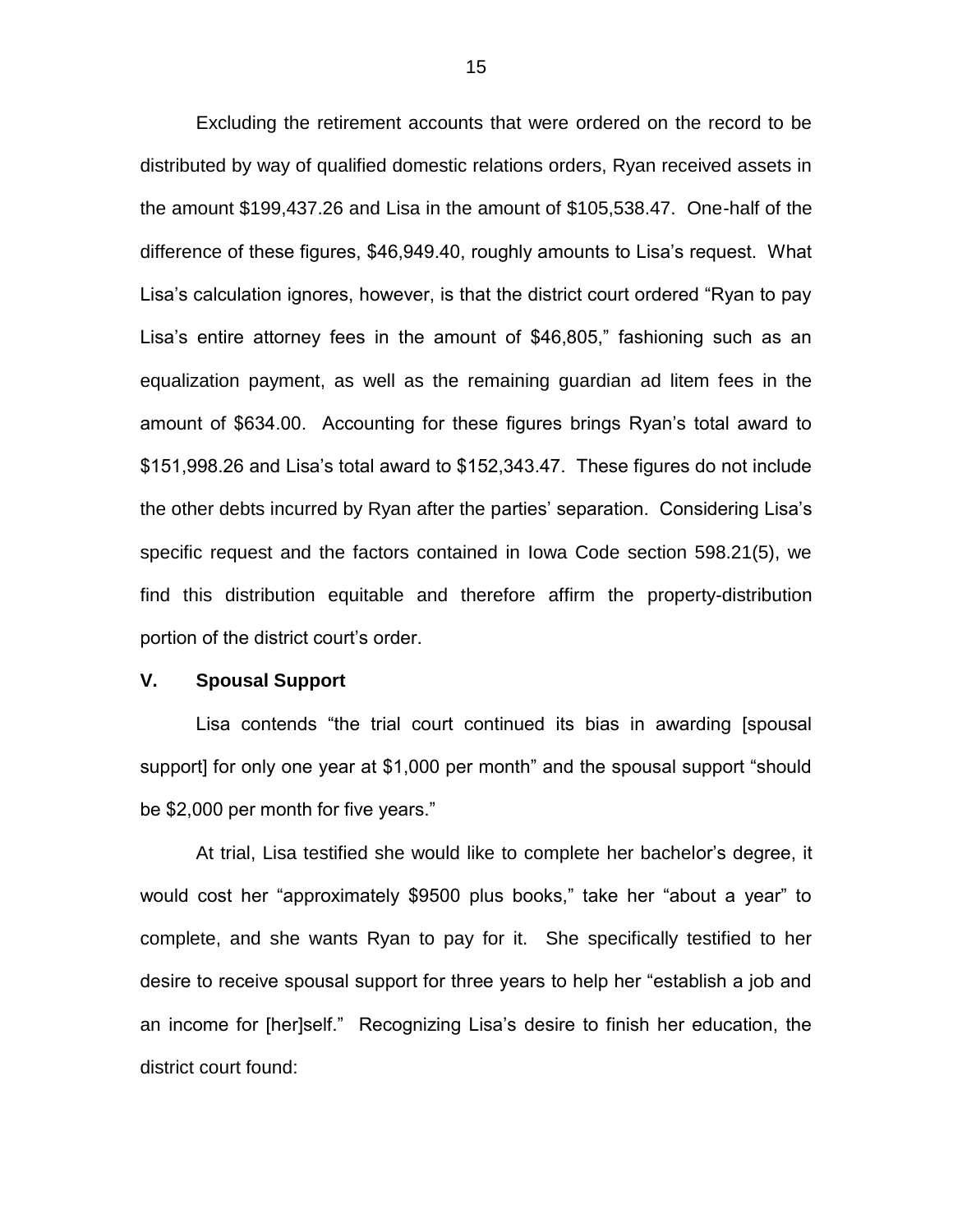Excluding the retirement accounts that were ordered on the record to be distributed by way of qualified domestic relations orders, Ryan received assets in the amount \$199,437.26 and Lisa in the amount of \$105,538.47. One-half of the difference of these figures, \$46,949.40, roughly amounts to Lisa's request. What Lisa's calculation ignores, however, is that the district court ordered "Ryan to pay Lisa's entire attorney fees in the amount of \$46,805," fashioning such as an equalization payment, as well as the remaining guardian ad litem fees in the amount of \$634.00. Accounting for these figures brings Ryan's total award to \$151,998.26 and Lisa's total award to \$152,343.47. These figures do not include the other debts incurred by Ryan after the parties' separation. Considering Lisa's specific request and the factors contained in Iowa Code section 598.21(5), we find this distribution equitable and therefore affirm the property-distribution portion of the district court's order.

#### **V. Spousal Support**

Lisa contends "the trial court continued its bias in awarding [spousal support] for only one year at \$1,000 per month" and the spousal support "should be \$2,000 per month for five years."

At trial, Lisa testified she would like to complete her bachelor's degree, it would cost her "approximately \$9500 plus books," take her "about a year" to complete, and she wants Ryan to pay for it. She specifically testified to her desire to receive spousal support for three years to help her "establish a job and an income for [her]self." Recognizing Lisa's desire to finish her education, the district court found: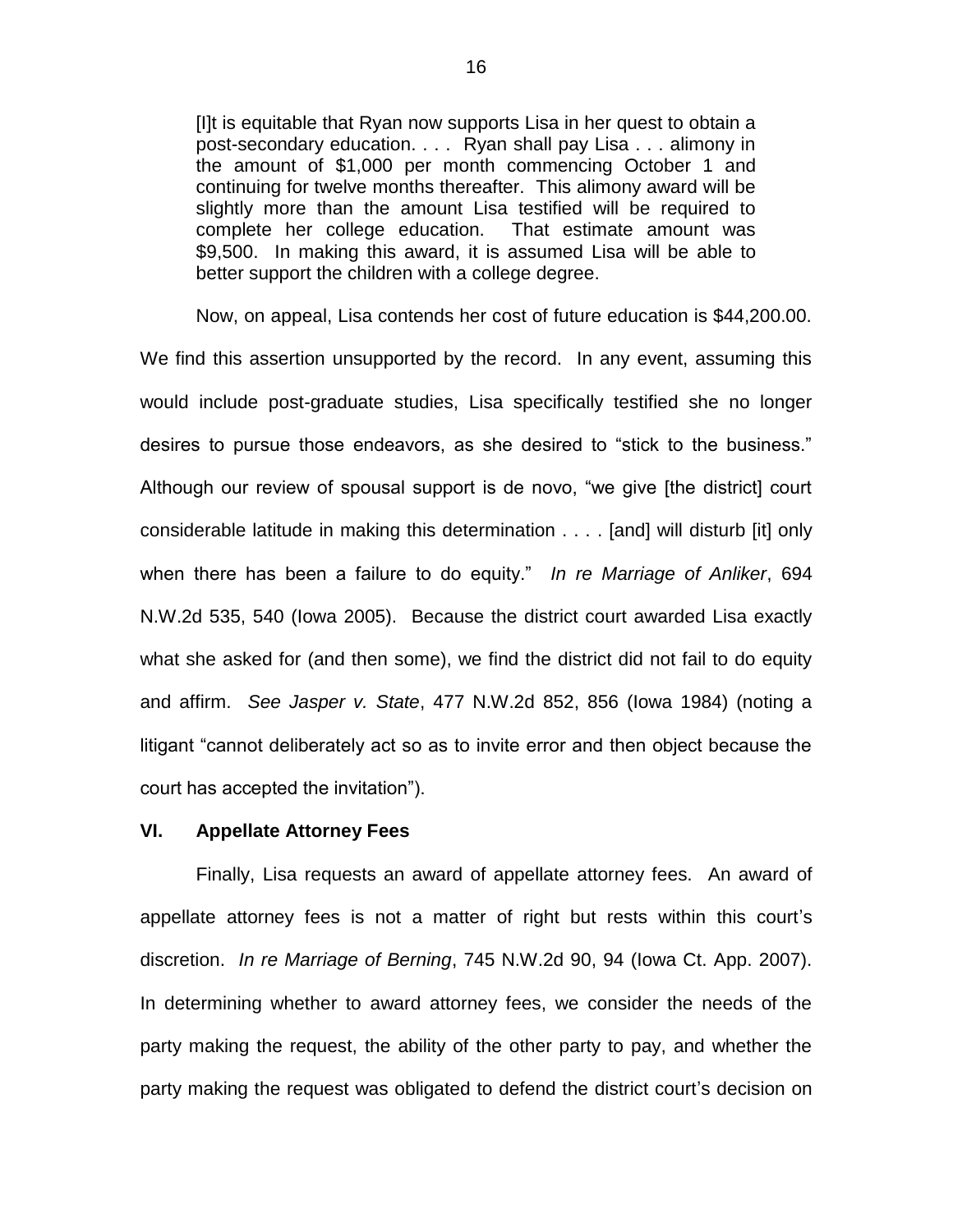[I]t is equitable that Ryan now supports Lisa in her quest to obtain a post-secondary education. . . . Ryan shall pay Lisa . . . alimony in the amount of \$1,000 per month commencing October 1 and continuing for twelve months thereafter. This alimony award will be slightly more than the amount Lisa testified will be required to complete her college education. That estimate amount was \$9,500. In making this award, it is assumed Lisa will be able to better support the children with a college degree.

Now, on appeal, Lisa contends her cost of future education is \$44,200.00. We find this assertion unsupported by the record. In any event, assuming this would include post-graduate studies, Lisa specifically testified she no longer desires to pursue those endeavors, as she desired to "stick to the business." Although our review of spousal support is de novo, "we give [the district] court considerable latitude in making this determination . . . . [and] will disturb [it] only when there has been a failure to do equity." *In re Marriage of Anliker*, 694 N.W.2d 535, 540 (Iowa 2005). Because the district court awarded Lisa exactly what she asked for (and then some), we find the district did not fail to do equity and affirm. *See Jasper v. State*, 477 N.W.2d 852, 856 (Iowa 1984) (noting a litigant "cannot deliberately act so as to invite error and then object because the court has accepted the invitation").

#### **VI. Appellate Attorney Fees**

Finally, Lisa requests an award of appellate attorney fees. An award of appellate attorney fees is not a matter of right but rests within this court's discretion. *In re Marriage of Berning*, 745 N.W.2d 90, 94 (Iowa Ct. App. 2007). In determining whether to award attorney fees, we consider the needs of the party making the request, the ability of the other party to pay, and whether the party making the request was obligated to defend the district court's decision on